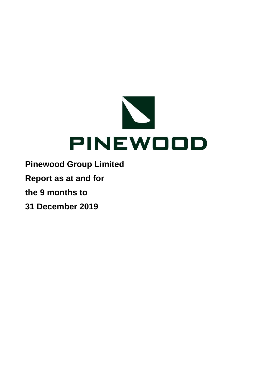

- **Pinewood Group Limited**
- **Report as at and for**
- **the 9 months to**
- **31 December 2019**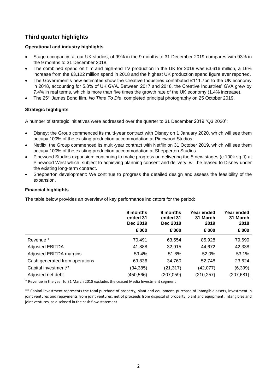# **Third quarter highlights**

# **Operational and industry highlights**

- Stage occupancy, at our UK studios, of 99% in the 9 months to 31 December 2019 compares with 93% in the 9 months to 31 December 2018.
- The combined spend on film and high-end TV production in the UK for 2019 was £3,616 million, a 16% increase from the £3,122 million spend in 2018 and the highest UK production spend figure ever reported.
- The Government's new estimates show the Creative Industries contributed £111.7bn to the UK economy in 2018, accounting for 5.8% of UK GVA. Between 2017 and 2018, the Creative Industries' GVA grew by 7.4% in real terms, which is more than five times the growth rate of the UK economy (1.4% increase).
- The 25th James Bond film, *No Time To Die*, completed principal photography on 25 October 2019.

# **Strategic highlights**

A number of strategic initiatives were addressed over the quarter to 31 December 2019 "Q3 2020":

- Disney: the Group commenced its multi-year contract with Disney on 1 January 2020, which will see them occupy 100% of the existing production accommodation at Pinewood Studios.
- Netflix: the Group commenced its multi-year contract with Netflix on 31 October 2019, which will see them occupy 100% of the existing production accommodation at Shepperton Studios.
- Pinewood Studios expansion: continuing to make progress on delivering the 5 new stages (c.100k sq.ft) at Pinewood West which, subject to achieving planning consent and delivery, will be leased to Disney under the existing long-term contract.
- Shepperton development: We continue to progress the detailed design and assess the feasibility of the expansion.

# **Financial highlights**

The table below provides an overview of key performance indicators for the period:

|                                | 9 months<br>ended 31<br>Dec 2019<br>£'000 | 9 months<br>ended 31<br>Dec 2018<br>£'000 | Year ended<br>31 March<br>2019<br>£'000 | Year ended<br>31 March<br>2018<br>£'000 |
|--------------------------------|-------------------------------------------|-------------------------------------------|-----------------------------------------|-----------------------------------------|
| Revenue *                      | 70,491                                    | 63,554                                    | 85,928                                  | 79,690                                  |
| <b>Adjusted EBITDA</b>         | 41,888                                    | 32,915                                    | 44,672                                  | 42,338                                  |
| Adjusted EBITDA margins        | 59.4%                                     | 51.8%                                     | 52.0%                                   | 53.1%                                   |
| Cash generated from operations | 69,836                                    | 34,760                                    | 52,748                                  | 23,624                                  |
| Capital investment**           | (34,385)                                  | (21, 317)                                 | (42,077)                                | (6, 399)                                |
| Adjusted net debt              | (450,566)                                 | (207, 059)                                | (210, 257)                              | (207, 681)                              |

\* Revenue in the year to 31 March 2018 excludes the ceased Media Investment segment

\*\* Capital investment represents the total purchase of property, plant and equipment, purchase of intangible assets, investment in joint ventures and repayments from joint ventures, net of proceeds from disposal of property, plant and equipment, intangibles and joint ventures, as disclosed in the cash flow statement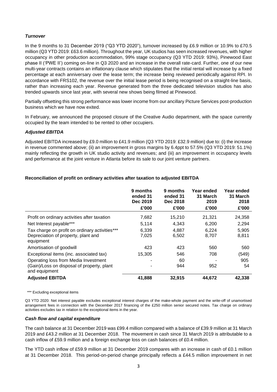# *Turnover*

In the 9 months to 31 December 2019 ("Q3 YTD 2020"), turnover increased by £6.9 million or 10.9% to £70.5 million (Q3 YTD 2019: £63.6 million). Throughout the year, UK studios has seen increased revenues, with higher occupancy in other production accommodation, 99% stage occupancy (Q3 YTD 2019: 93%), Pinewood East phase II ('PWE II') coming on-line in Q3 2020 and an increase in the overall rate-card. Further, one of our new multi-year contracts contains an inflationary clause which stipulates that the initial rental will increase by a fixed percentage at each anniversary over the lease term; the increase being reviewed periodically against RPI. In accordance with FRS102, the revenue over the initial lease period is being recognised on a straight-line basis, rather than increasing each year. Revenue generated from the three dedicated television studios has also trended upwards since last year, with several new shows being filmed at Pinewood.

Partially offsetting this strong performance was lower income from our ancillary Picture Services post-production business which we have now exited.

In February, we announced the proposed closure of the Creative Audio department, with the space currently occupied by the team intended to be rented to other occupiers.

# *Adjusted EBITDA*

Adjusted EBITDA increased by £9.0 million to £41.9 million (Q3 YTD 2019: £32.9 million) due to: (i) the increase in revenue commented above; (ii) an improvement in gross margins by 6.4ppt to 57.5% (Q3 YTD 2019: 51.1%) mainly reflecting the growth in UK studio activity and revenues; and (iii) an improvement in occupancy levels and performance at the joint venture in Atlanta before its sale to our joint venture partners.

|                                                                                                     | 9 months<br>ended 31<br>Dec 2019<br>£'000 | 9 months<br>ended 31<br>Dec 2018<br>£'000 | Year ended<br>31 March<br>2019<br>£'000 | Year ended<br>31 March<br>2018<br>£'000 |
|-----------------------------------------------------------------------------------------------------|-------------------------------------------|-------------------------------------------|-----------------------------------------|-----------------------------------------|
| Profit on ordinary activities after taxation                                                        | 7,682                                     | 15,210                                    | 21,321                                  | 24,358                                  |
| Net Interest payable***                                                                             | 5.114                                     | 4,343                                     | 6,200                                   | 2,294                                   |
| Tax charge on profit on ordinary activities***<br>Depreciation of property, plant and<br>equipment  | 6,339<br>7,025                            | 4,887<br>6,502                            | 6.224<br>8,707                          | 5,905<br>8,811                          |
| Amortisation of goodwill                                                                            | 423                                       | 423                                       | 560                                     | 560                                     |
| Exceptional items (inc. associated tax)                                                             | 15,305                                    | 546                                       | 708                                     | (549)                                   |
| Operating loss from Media Investment<br>(Gain)/Loss on disposal of property, plant<br>and equipment |                                           | 60<br>944                                 | 952                                     | 905<br>54                               |
| <b>Adjusted EBITDA</b>                                                                              | 41,888                                    | 32,915                                    | 44,672                                  | 42,338                                  |

# **Reconciliation of profit on ordinary activities after taxation to adjusted EBITDA**

\*\*\* Excluding exceptional items

Q3 YTD 2020: Net interest payable excludes exceptional interest charges of the make-whole payment and the write-off of unamortised arrangement fees in connection with the December 2017 financing of the £250 million senior secured notes. Tax charge on ordinary activities excludes tax in relation to the exceptional items in the year.

## *Cash flow and capital expenditure*

The cash balance at 31 December 2019 was £99.4 million compared with a balance of £39.9 million at 31 March 2019 and £43.2 million at 31 December 2018. The movement in cash since 31 March 2019 is attributable to a cash inflow of £59.9 million and a foreign exchange loss on cash balances of £0.4 million.

The YTD cash inflow of £59.9 million at 31 December 2019 compares with an increase in cash of £0.1 million at 31 December 2018. This period-on-period change principally reflects a £44.5 million improvement in net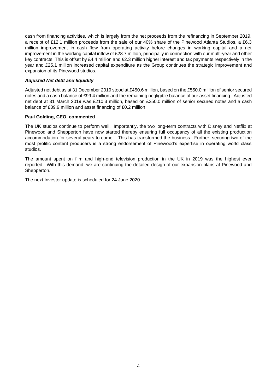cash from financing activities, which is largely from the net proceeds from the refinancing in September 2019, a receipt of £12.1 million proceeds from the sale of our 40% share of the Pinewood Atlanta Studios, a £6.3 million improvement in cash flow from operating activity before changes in working capital and a net improvement in the working capital inflow of £28.7 million, principally in connection with our multi-year and other key contracts. This is offset by £4.4 million and £2.3 million higher interest and tax payments respectively in the year and £25.1 million increased capital expenditure as the Group continues the strategic improvement and expansion of its Pinewood studios.

## *Adjusted Net debt and liquidity*

Adjusted net debt as at 31 December 2019 stood at £450.6 million, based on the £550.0 million of senior secured notes and a cash balance of £99.4 million and the remaining negligible balance of our asset financing. Adjusted net debt at 31 March 2019 was £210.3 million, based on £250.0 million of senior secured notes and a cash balance of £39.9 million and asset financing of £0.2 million.

## **Paul Golding, CEO, commented**

The UK studios continue to perform well. Importantly, the two long-term contracts with Disney and Netflix at Pinewood and Shepperton have now started thereby ensuring full occupancy of all the existing production accommodation for several years to come. This has transformed the business. Further, securing two of the most prolific content producers is a strong endorsement of Pinewood's expertise in operating world class studios.

The amount spent on film and high-end television production in the UK in 2019 was the highest ever reported. With this demand, we are continuing the detailed design of our expansion plans at Pinewood and Shepperton.

The next Investor update is scheduled for 24 June 2020.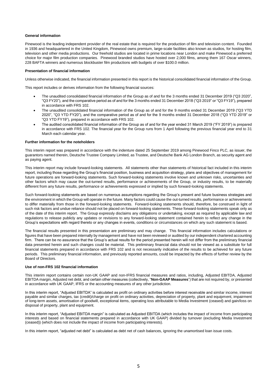## **General information**

Pinewood is the leading independent provider of the real estate that is required for the production of film and television content. Founded in 1936 and headquartered in the United Kingdom, Pinewood owns premium, large-scale facilities also known as studios, for hosting film, television and other media productions. Our freehold studios are located in prime locations near London and make Pinewood a preferred choice for major film production companies. Pinewood branded studios have hosted over 2,000 films, among them 167 Oscar winners, 228 BAFTA winners and numerous blockbuster film productions with budgets of over \$100.0 million.

## **Presentation of financial information**

Unless otherwise indicated, the financial information presented in this report is the historical consolidated financial information of the Group.

This report includes or derives information from the following financial sources:

- The unaudited consolidated financial information of the Group as of and for the 3 months ended 31 December 2019 ("Q3 2020", "Q3 FY20"), and the comparative period as of and for the 3 months ended 31 December 2018 ("Q3 2019" or "Q3 FY19"), prepared in accordance with FRS 102.
- The unaudited consolidated financial information of the Group as of and for the 9 months ended 31 December 2019 ("Q3 YTD 2020", "Q3 YTD FY20"), and the comparative period as of and for the 9 months ended 31 December 2018 ("Q3 YTD 2019" or "Q3 YTD FY19"), prepared in accordance with FRS 102.
- The audited consolidated financial information of the Group as of and for the year ended 31 March 2019 ("FY 2019") is prepared in accordance with FRS 102. The financial year for the Group runs from 1 April following the previous financial year end to 31 March each calendar year.

## **Further information for the noteholders**

This interim report was prepared in accordance with the indenture dated 25 September 2019 among Pinewood Finco PLC, as issuer, the guarantors named therein, Deutsche Trustee Company Limited, as Trustee, and Deutsche Bank AG London Branch, as security agent and as paying agent.

This interim report may include forward-looking statements. All statements other than statements of historical fact included in this interim report, including those regarding the Group's financial position, business and acquisition strategy, plans and objectives of management for future operations are forward-looking statements. Such forward-looking statements involve known and unknown risks, uncertainties and other factors which may cause the out-turned results, performance or achievements of the Group, or industry results, to be materially different from any future results, performance or achievements expressed or implied by such forward-looking statements.

Such forward-looking statements are based on numerous assumptions regarding the Group's present and future business strategies and the environment in which the Group will operate in the future. Many factors could cause the out-turned results, performance or achievements to differ materially from those in the forward-looking statements. Forward-looking statements should, therefore, be construed in light of such risk factors and undue reliance should not be placed on forward-looking statements. These forward-looking statements speak only as of the date of this interim report. The Group expressly disclaims any obligations or undertaking, except as required by applicable law and regulations to release publicly any updates or revisions to any forward-looking statement contained herein to reflect any change in the Group's expectations with regard thereto or any changes in events, conditions or circumstances on which any such statement is based.

The financial results presented in this presentation are preliminary and may change. This financial information includes calculations or figures that have been prepared internally by management and have not been reviewed or audited by our independent chartered accounting firm. There can be no assurance that the Group's actual results for the period presented herein will not differ from the preliminary financial data presented herein and such changes could be material. This preliminary financial data should not be viewed as a substitute for full financial statements prepared in accordance with FRS 102 and is not necessarily indicative of the results to be achieved for any future periods. This preliminary financial information, and previously reported amounts, could be impacted by the effects of further review by the Board of Directors.

## **Use of non-FRS 102 financial information**

This interim report contains certain non-UK GAAP and non-IFRS financial measures and ratios, including, Adjusted EBITDA, Adjusted EBITDA margin, Adjusted net debt, and certain other measures (collectively, "**Non-GAAP Measures**") that are not required by, or presented in accordance with UK GAAP, IFRS or the accounting measures of any other jurisdiction.

In this interim report, "Adjusted EBITDA" is calculated as profit on ordinary activities before interest receivable and similar income, interest payable and similar charges, tax (credit)/charge on profit on ordinary activities, depreciation of property, plant and equipment, impairment of long-term assets, amortisation of goodwill, exceptional items, operating loss attributable to Media Investment (ceased) and gain/loss on disposal of property, plant and equipment.

In this interim report, "Adjusted EBITDA margin" is calculated as Adjusted EBITDA (which includes the impact of income from participating interests and based on financial statements prepared in accordance with UK GAAP) divided by turnover (excluding Media Investment (ceased)) (which does not include the impact of income from participating interests).

In this interim report, "adjusted net debt" is calculated as debt net of cash balances, ignoring the unamortised loan issue costs.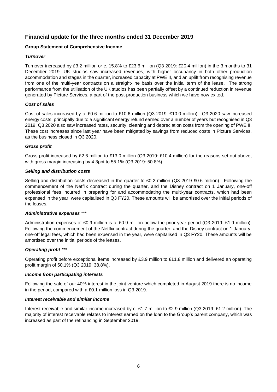# **Financial update for the three months ended 31 December 2019**

# **Group Statement of Comprehensive Income**

# *Turnover*

Turnover increased by £3.2 million or c. 15.8% to £23.6 million (Q3 2019: £20.4 million) in the 3 months to 31 December 2019. UK studios saw increased revenues, with higher occupancy in both other production accommodation and stages in the quarter, increased capacity at PWE II, and an uplift from recognising revenue from one of the multi-year contracts on a straight-line basis over the initial term of the lease. The strong performance from the utilisation of the UK studios has been partially offset by a continued reduction in revenue generated by Picture Services, a part of the post-production business which we have now exited.

# *Cost of sales*

Cost of sales increased by c. £0.6 million to £10.6 million (Q3 2019: £10.0 million). Q3 2020 saw increased energy costs, principally due to a significant energy refund earned over a number of years but recognised in Q3 2019. Q3 2020 also saw increased rates, security, cleaning and depreciation costs from the opening of PWE II. These cost increases since last year have been mitigated by savings from reduced costs in Picture Services, as the business closed in Q3 2020.

# *Gross profit*

Gross profit increased by £2.6 million to £13.0 million (Q3 2019: £10.4 million) for the reasons set out above, with gross margin increasing by 4.3ppt to 55.1% (Q3 2019: 50.8%).

# *Selling and distribution costs*

Selling and distribution costs decreased in the quarter to £0.2 million (Q3 2019 £0.6 million). Following the commencement of the Netflix contract during the quarter, and the Disney contract on 1 January, one-off professional fees incurred in preparing for and accommodating the multi-year contracts, which had been expensed in the year, were capitalised in Q3 FY20. These amounts will be amortised over the initial periods of the leases.

# *Administrative expenses* \*\*\*

Administration expenses of £0.9 million is c. £0.9 million below the prior year period (Q3 2019: £1.9 million). Following the commencement of the Netflix contract during the quarter, and the Disney contract on 1 January, one-off legal fees, which had been expensed in the year, were capitalised in Q3 FY20. These amounts will be amortised over the initial periods of the leases.

# *Operating profit \*\*\**

Operating profit before exceptional items increased by £3.9 million to £11.8 million and delivered an operating profit margin of 50.1% (Q3 2019: 38.8%).

# *Income from participating interests*

Following the sale of our 40% interest in the joint venture which completed in August 2019 there is no income in the period, compared with a £0.1 million loss in Q3 2019.

# *Interest receivable and similar income*

Interest receivable and similar income increased by c. £1.7 million to £2.9 million (Q3 2019: £1.2 million). The majority of interest receivable relates to interest earned on the loan to the Group's parent company, which was increased as part of the refinancing in September 2019.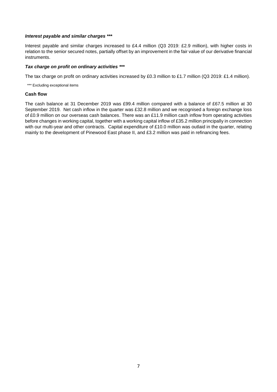## *Interest payable and similar charges \*\*\**

Interest payable and similar charges increased to £4.4 million (Q3 2019: £2.9 million), with higher costs in relation to the senior secured notes, partially offset by an improvement in the fair value of our derivative financial instruments.

## *Tax charge on profit on ordinary activities \*\*\**

The tax charge on profit on ordinary activities increased by £0.3 million to £1.7 million (Q3 2019: £1.4 million).

\*\*\* Excluding exceptional items

## **Cash flow**

The cash balance at 31 December 2019 was £99.4 million compared with a balance of £67.5 million at 30 September 2019. Net cash inflow in the quarter was £32.8 million and we recognised a foreign exchange loss of £0.9 million on our overseas cash balances. There was an £11.9 million cash inflow from operating activities before changes in working capital, together with a working capital inflow of £35.2 million principally in connection with our multi-year and other contracts. Capital expenditure of £10.0 million was outlaid in the quarter, relating mainly to the development of Pinewood East phase II, and £3.2 million was paid in refinancing fees.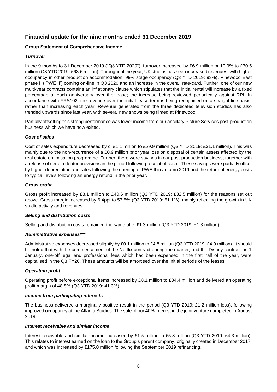# **Financial update for the nine months ended 31 December 2019**

# **Group Statement of Comprehensive Income**

# *Turnover*

In the 9 months to 31 December 2019 ("Q3 YTD 2020"), turnover increased by £6.9 million or 10.9% to £70.5 million (Q3 YTD 2019: £63.6 million). Throughout the year, UK studios has seen increased revenues, with higher occupancy in other production accommodation, 99% stage occupancy (Q3 YTD 2019: 93%), Pinewood East phase II ('PWE II') coming on-line in Q3 2020 and an increase in the overall rate-card. Further, one of our new multi-year contracts contains an inflationary clause which stipulates that the initial rental will increase by a fixed percentage at each anniversary over the lease; the increase being reviewed periodically against RPI. In accordance with FRS102, the revenue over the initial lease term is being recognised on a straight-line basis, rather than increasing each year. Revenue generated from the three dedicated television studios has also trended upwards since last year, with several new shows being filmed at Pinewood.

Partially offsetting this strong performance was lower income from our ancillary Picture Services post-production business which we have now exited.

# *Cost of sales*

Cost of sales expenditure decreased by c. £1.1 million to £29.9 million (Q3 YTD 2019: £31.1 million). This was mainly due to the non-recurrence of a £0.9 million prior year loss on disposal of certain assets affected by the real estate optimisation programme. Further, there were savings in our post-production business, together with a release of certain debtor provisions in the period following receipt of cash. These savings were partially offset by higher depreciation and rates following the opening of PWE II in autumn 2019 and the return of energy costs to typical levels following an energy refund in the prior year.

# *Gross profit*

Gross profit increased by £8.1 million to £40.6 million (Q3 YTD 2019: £32.5 million) for the reasons set out above. Gross margin increased by 6.4ppt to 57.5% (Q3 YTD 2019: 51.1%), mainly reflecting the growth in UK studio activity and revenues.

# *Selling and distribution costs*

Selling and distribution costs remained the same at c. £1.3 million (Q3 YTD 2019: £1.3 million).

# *Administrative expenses\*\*\**

Administrative expenses decreased slightly by £0.1 million to £4.8 million (Q3 YTD 2019: £4.9 million). It should be noted that with the commencement of the Netflix contract during the quarter, and the Disney contract on 1 January, one-off legal and professional fees which had been expensed in the first half of the year, were capitalised in the Q3 FY20. These amounts will be amortised over the initial periods of the leases.

# *Operating profit*

Operating profit before exceptional items increased by £8.1 million to £34.4 million and delivered an operating profit margin of 48.8% (Q3 YTD 2019: 41.3%).

# *Income from participating interests*

The business delivered a marginally positive result in the period (Q3 YTD 2019: £1.2 million loss), following improved occupancy at the Atlanta Studios. The sale of our 40% interest in the joint venture completed in August 2019.

## *Interest receivable and similar income*

Interest receivable and similar income increased by £1.5 million to £5.8 million (Q3 YTD 2019: £4.3 million). This relates to interest earned on the loan to the Group's parent company, originally created in December 2017, and which was increased by £175.0 million following the September 2019 refinancing.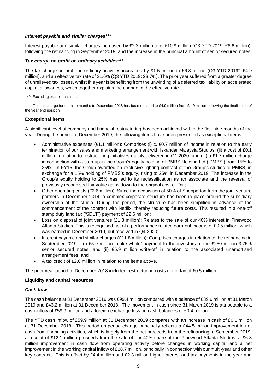## *Interest payable and similar charges\*\*\**

Interest payable and similar charges increased by £2.3 million to c. £10.9 million (Q3 YTD 2019: £8.6 million), following the refinancing in September 2019, and the increase in the principal amount of senior secured notes.

## *Tax charge on profit on ordinary activities\*\*\**

The tax charge on profit on ordinary activities increased by £1.5 million to £6.3 million (Q3 YTD 2019<sup>†</sup>: £4.9 million), and an effective tax rate of 21.6% (Q3 YTD 2019: 23.7%). The prior year suffered from a greater degree of unrelieved tax losses, whilst this year is benefitting from the unwinding of a deferred tax liability on accelerated capital allowances, which together explains the change in the effective rate.

\*\*\* Excluding exceptional items

 $\dagger$  The tax charge for the nine months to December 2018 has been restated to £4.9 million from £4.0 million, following the finalisation of the year end position

## **Exceptional items**

A significant level of company and financial restructuring has been achieved within the first nine months of the year. During the period to December 2019, the following items have been presented as exceptional items:

- Administrative expenses (£1.1 million): Comprises (i) c. £0.7 million of income in relation to the early termination of our sales and marketing arrangement with Iskandar Malaysia Studios: (ii) a cost of £0.1 million in relation to restructuring initiatives mainly delivered in Q1 2020; and (iii) a £1.7 million charge in connection with a step-up in the Group's equity holding of PMBS Holding Ltd ('PMBS') from 15% to 25%. In FY15, the Group awarded an exclusive lighting contract at the Group's studios to PMBS, in exchange for a 15% holding of PMBS's equity, rising to 25% in December 2019. The increase in the Group's equity holding to 25% has led to its reclassification as an associate and the reversal of previously recognised fair value gains down to the original cost of £nil;
- Other operating costs (£2.6 million): Since the acquisition of 50% of Shepperton from the joint venture partners in December 2014, a complex corporate structure has been in place around the subsidiary ownership of the studio. During the period, the structure has been simplified in advance of the commencement of the contract with Netflix, thereby reducing future costs. This resulted in a one-off stamp duty land tax ('SDLT') payment of £2.6 million;
- Loss on disposal of joint ventures (£1.8 million): Relates to the sale of our 40% interest in Pinewood Atlanta Studios. This is recognised net of a performance related earn-out income of £0.5 million, which was earned in December 2019, but received in Q4 2020;
- Interest payable and similar charges (£11.8 million): Comprises charges in relation to the refinancing in September 2019 – (i) £5.9 million 'make-whole' payment to the investors of the £250 million 3.75% senior secured notes, and (ii) £5.9 million write-off in relation to the associated unamortised arrangement fees; and
- A tax credit of £2.0 million in relation to the items above.

The prior year period to December 2018 included restructuring costs net of tax of £0.5 million.

# **Liquidity and capital resources**

## *Cash flow*

The cash balance at 31 December 2019 was £99.4 million compared with a balance of £39.9 million at 31 March 2019 and £43.2 million at 31 December 2018. The movement in cash since 31 March 2019 is attributable to a cash inflow of £59.9 million and a foreign exchange loss on cash balances of £0.4 million.

The YTD cash inflow of £59.9 million at 31 December 2019 compares with an increase in cash of £0.1 million at 31 December 2018. This period-on-period change principally reflects a £44.5 million improvement in net cash from financing activities, which is largely from the net proceeds from the refinancing in September 2019, a receipt of £12.1 million proceeds from the sale of our 40% share of the Pinewood Atlanta Studios, a £6.3 million improvement in cash flow from operating activity before changes in working capital and a net improvement in the working capital inflow of £28.7 million, principally in connection with our multi-year and other key contracts. This is offset by £4.4 million and £2.3 million higher interest and tax payments in the year and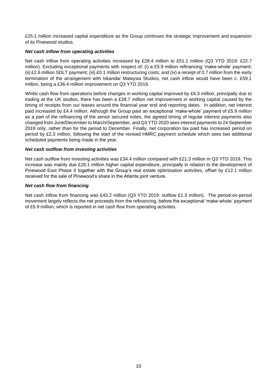£25.1 million increased capital expenditure as the Group continues the strategic improvement and expansion of its Pinewood studios.

# *Net cash inflow from operating activities*

Net cash inflow from operating activities increased by £28.4 million to £51.1 million (Q3 YTD 2019: £22.7 million). Excluding exceptional payments with respect of: (i) a £5.9 million refinancing 'make-whole' payment; (ii) £2.6 million SDLT payment; (iii) £0.1 million restructuring costs; and (iv) a receipt of 0.7 million from the early termination of the arrangement with Iskandar Malaysia Studios, net cash inflow would have been c. £59.1 million, being a £36.4 million improvement on Q3 YTD 2019.

Whilst cash flow from operations before changes in working capital improved by £6.3 million, principally due to trading at the UK studios, there has been a £28.7 million net improvement in working capital caused by the timing of receipts from our leases around the financial year end and reporting dates. In addition, net interest paid increased by £4.4 million. Although the Group paid an exceptional 'make-whole' payment of £5.9 million as a part of the refinancing of the senior secured notes, the agreed timing of regular interest payments also changed from June/December to March/September, and Q3 YTD 2020 sees interest payments to 24 September 2019 only, rather than for the period to December. Finally, net corporation tax paid has increased period on period by £2.3 million, following the start of the revised HMRC payment schedule which sees two additional scheduled payments being made in the year.

## *Net cash outflow from investing activities*

Net cash outflow from investing activities was £34.4 million compared with £21.3 million in Q3 YTD 2019. This increase was mainly due £28.1 million higher capital expenditure, principally in relation to the development of Pinewood East Phase II together with the Group's real estate optimisation activities, offset by £12.1 million received for the sale of Pinewood's share in the Atlanta joint venture.

## *Net cash flow from financing*

Net cash inflow from financing was £43.2 million (Q3 YTD 2019: outflow £1.3 million). The period-on-period movement largely reflects the net proceeds from the refinancing, before the exceptional 'make-whole' payment of £5.9 million, which is reported in net cash flow from operating activities.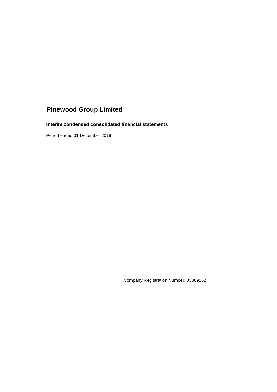# **Interim condensed consolidated financial statements**

Period ended 31 December 2019

Company Registration Number: 03889552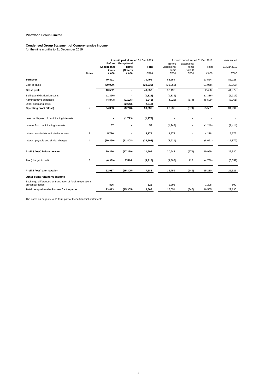#### **Condensed Group Statement of Comprehensive Income**

for the nine months to 31 December 2019

| <b>Exceptional</b><br>items<br><b>Total</b><br>Exceptional<br>items<br>Total<br>31 Mar 2019<br>items<br>(Note 1)<br>items<br>(Note 1)<br>£'000<br>£'000<br>£'000<br>£'000<br>£'000<br><b>Notes</b><br>£'000<br>£'000<br><b>Turnover</b><br>70,491<br>70,491<br>63,554<br>85,928<br>63,554<br>Cost of sales<br>(29, 939)<br>(29, 939)<br>(31,058)<br>(31,058)<br>(40, 956)<br>40,552<br>40,552<br>44,972<br><b>Gross profit</b><br>32,496<br>32,496<br>٠<br>(1, 326)<br>(1, 326)<br>(1, 336)<br>(1,717)<br>Selling and distribution costs<br>(1, 336)<br>٠<br>(4, 843)<br>(5,948)<br>(674)<br>(1, 105)<br>(4,925)<br>(5,599)<br>(8,261)<br>Administrative expenses<br>Other operating costs<br>(2,643)<br>(2,643)<br>$\overline{2}$<br>34,383<br>25,561<br>34,994<br>Operating profit / (loss)<br>(3,748)<br>30,635<br>26,235<br>(674)<br>Loss on disposal of participating interests<br>(1, 773)<br>(1, 773)<br>57<br>57<br>(1, 249)<br>(1, 249)<br>(1, 414)<br>Income from participating interests<br>Interest receivable and similar income<br>3<br>5,776<br>5,776<br>4,278<br>4,278<br>5,679<br>Interest payable and similar charges<br>4<br>(10, 890)<br>(11, 808)<br>(22, 698)<br>(8,621)<br>(8,621)<br>(11, 879)<br>Profit / (loss) before taxation<br>29,326<br>(17, 329)<br>11,997<br>(674)<br>19,969<br>27,380<br>20,643<br>2,024<br>5<br>Tax (charge) / credit<br>(6, 339)<br>(4, 315)<br>128<br>(6,059)<br>(4,887)<br>(4,759)<br>(15, 305)<br>7,682<br>15,210<br>Profit / (loss) after taxation<br>22,987<br>15,756<br>(546)<br>21,321<br>Other comprehensive income<br>Exchange differences on translation of foreign operations<br>on consolidation<br>826<br>826<br>1,295<br>1,295<br>809<br>23,813<br>(15, 305)<br>8,508<br>17,051<br>(546)<br>16,505<br>22,130<br>Total comprehensive income for the period |  | <b>Before</b> | 9 month period ended 31 Dec 2019<br><b>Exceptional</b> | Before | 9 month period ended 31 Dec 2018<br>Exceptional | Year ended |
|-----------------------------------------------------------------------------------------------------------------------------------------------------------------------------------------------------------------------------------------------------------------------------------------------------------------------------------------------------------------------------------------------------------------------------------------------------------------------------------------------------------------------------------------------------------------------------------------------------------------------------------------------------------------------------------------------------------------------------------------------------------------------------------------------------------------------------------------------------------------------------------------------------------------------------------------------------------------------------------------------------------------------------------------------------------------------------------------------------------------------------------------------------------------------------------------------------------------------------------------------------------------------------------------------------------------------------------------------------------------------------------------------------------------------------------------------------------------------------------------------------------------------------------------------------------------------------------------------------------------------------------------------------------------------------------------------------------------------------------------------------------------------------------------------------------------------------|--|---------------|--------------------------------------------------------|--------|-------------------------------------------------|------------|
|                                                                                                                                                                                                                                                                                                                                                                                                                                                                                                                                                                                                                                                                                                                                                                                                                                                                                                                                                                                                                                                                                                                                                                                                                                                                                                                                                                                                                                                                                                                                                                                                                                                                                                                                                                                                                             |  |               |                                                        |        |                                                 |            |
|                                                                                                                                                                                                                                                                                                                                                                                                                                                                                                                                                                                                                                                                                                                                                                                                                                                                                                                                                                                                                                                                                                                                                                                                                                                                                                                                                                                                                                                                                                                                                                                                                                                                                                                                                                                                                             |  |               |                                                        |        |                                                 |            |
|                                                                                                                                                                                                                                                                                                                                                                                                                                                                                                                                                                                                                                                                                                                                                                                                                                                                                                                                                                                                                                                                                                                                                                                                                                                                                                                                                                                                                                                                                                                                                                                                                                                                                                                                                                                                                             |  |               |                                                        |        |                                                 |            |
|                                                                                                                                                                                                                                                                                                                                                                                                                                                                                                                                                                                                                                                                                                                                                                                                                                                                                                                                                                                                                                                                                                                                                                                                                                                                                                                                                                                                                                                                                                                                                                                                                                                                                                                                                                                                                             |  |               |                                                        |        |                                                 |            |
|                                                                                                                                                                                                                                                                                                                                                                                                                                                                                                                                                                                                                                                                                                                                                                                                                                                                                                                                                                                                                                                                                                                                                                                                                                                                                                                                                                                                                                                                                                                                                                                                                                                                                                                                                                                                                             |  |               |                                                        |        |                                                 |            |
|                                                                                                                                                                                                                                                                                                                                                                                                                                                                                                                                                                                                                                                                                                                                                                                                                                                                                                                                                                                                                                                                                                                                                                                                                                                                                                                                                                                                                                                                                                                                                                                                                                                                                                                                                                                                                             |  |               |                                                        |        |                                                 |            |
|                                                                                                                                                                                                                                                                                                                                                                                                                                                                                                                                                                                                                                                                                                                                                                                                                                                                                                                                                                                                                                                                                                                                                                                                                                                                                                                                                                                                                                                                                                                                                                                                                                                                                                                                                                                                                             |  |               |                                                        |        |                                                 |            |
|                                                                                                                                                                                                                                                                                                                                                                                                                                                                                                                                                                                                                                                                                                                                                                                                                                                                                                                                                                                                                                                                                                                                                                                                                                                                                                                                                                                                                                                                                                                                                                                                                                                                                                                                                                                                                             |  |               |                                                        |        |                                                 |            |
|                                                                                                                                                                                                                                                                                                                                                                                                                                                                                                                                                                                                                                                                                                                                                                                                                                                                                                                                                                                                                                                                                                                                                                                                                                                                                                                                                                                                                                                                                                                                                                                                                                                                                                                                                                                                                             |  |               |                                                        |        |                                                 |            |
|                                                                                                                                                                                                                                                                                                                                                                                                                                                                                                                                                                                                                                                                                                                                                                                                                                                                                                                                                                                                                                                                                                                                                                                                                                                                                                                                                                                                                                                                                                                                                                                                                                                                                                                                                                                                                             |  |               |                                                        |        |                                                 |            |
|                                                                                                                                                                                                                                                                                                                                                                                                                                                                                                                                                                                                                                                                                                                                                                                                                                                                                                                                                                                                                                                                                                                                                                                                                                                                                                                                                                                                                                                                                                                                                                                                                                                                                                                                                                                                                             |  |               |                                                        |        |                                                 |            |
|                                                                                                                                                                                                                                                                                                                                                                                                                                                                                                                                                                                                                                                                                                                                                                                                                                                                                                                                                                                                                                                                                                                                                                                                                                                                                                                                                                                                                                                                                                                                                                                                                                                                                                                                                                                                                             |  |               |                                                        |        |                                                 |            |
|                                                                                                                                                                                                                                                                                                                                                                                                                                                                                                                                                                                                                                                                                                                                                                                                                                                                                                                                                                                                                                                                                                                                                                                                                                                                                                                                                                                                                                                                                                                                                                                                                                                                                                                                                                                                                             |  |               |                                                        |        |                                                 |            |
|                                                                                                                                                                                                                                                                                                                                                                                                                                                                                                                                                                                                                                                                                                                                                                                                                                                                                                                                                                                                                                                                                                                                                                                                                                                                                                                                                                                                                                                                                                                                                                                                                                                                                                                                                                                                                             |  |               |                                                        |        |                                                 |            |
|                                                                                                                                                                                                                                                                                                                                                                                                                                                                                                                                                                                                                                                                                                                                                                                                                                                                                                                                                                                                                                                                                                                                                                                                                                                                                                                                                                                                                                                                                                                                                                                                                                                                                                                                                                                                                             |  |               |                                                        |        |                                                 |            |
|                                                                                                                                                                                                                                                                                                                                                                                                                                                                                                                                                                                                                                                                                                                                                                                                                                                                                                                                                                                                                                                                                                                                                                                                                                                                                                                                                                                                                                                                                                                                                                                                                                                                                                                                                                                                                             |  |               |                                                        |        |                                                 |            |
|                                                                                                                                                                                                                                                                                                                                                                                                                                                                                                                                                                                                                                                                                                                                                                                                                                                                                                                                                                                                                                                                                                                                                                                                                                                                                                                                                                                                                                                                                                                                                                                                                                                                                                                                                                                                                             |  |               |                                                        |        |                                                 |            |
|                                                                                                                                                                                                                                                                                                                                                                                                                                                                                                                                                                                                                                                                                                                                                                                                                                                                                                                                                                                                                                                                                                                                                                                                                                                                                                                                                                                                                                                                                                                                                                                                                                                                                                                                                                                                                             |  |               |                                                        |        |                                                 |            |
|                                                                                                                                                                                                                                                                                                                                                                                                                                                                                                                                                                                                                                                                                                                                                                                                                                                                                                                                                                                                                                                                                                                                                                                                                                                                                                                                                                                                                                                                                                                                                                                                                                                                                                                                                                                                                             |  |               |                                                        |        |                                                 |            |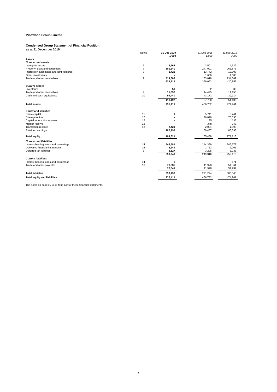#### **Condensed Group Statement of Financial Position**

| as at 31 December 2019                     |                |                      |                      |                      |
|--------------------------------------------|----------------|----------------------|----------------------|----------------------|
|                                            | Notes          | 31 Dec 2019<br>£'000 | 31 Dec 2018<br>£'000 | 31 Mar 2019<br>£'000 |
| Assets                                     |                |                      |                      |                      |
| <b>Non-current assets</b>                  |                |                      |                      |                      |
| Intangible assets                          | 6              | 5,263                | 3,501                | 4,622                |
| Property, plant and equipment              | $\overline{7}$ | 301,640              | 247,091              | 266,876              |
| Interests in associates and joint ventures | 8              | 2,428                | 13,772               | 13,308               |
| Other investments                          |                |                      | 1,680                | 1,680                |
| Trade and other receivables                | 9              | 314,883<br>624,214   | 133,018<br>399,062   | 134,369<br>420,855   |
|                                            |                |                      |                      |                      |
| <b>Current assets</b>                      |                |                      |                      |                      |
| Inventories                                |                | 59                   | 52                   | 36                   |
| Trade and other receivables                | 9              | 11,698               | 14,495               | 14,156               |
| Cash and cash equivalents                  | 10             | 99,440               | 43,173               | 39,914               |
|                                            |                | 111,197              | 57,720               | 54,106               |
| <b>Total assets</b>                        |                | 735,411              | 456,782              | 474,961              |
| <b>Equity and liabilities</b>              |                |                      |                      |                      |
| Share capital                              | 11             | 1                    | 5,741                | 5,741                |
| Share premium                              | 12             |                      | 76,696               | 76,696               |
| Capital redemption reserve                 | 12             |                      | 135                  | 135                  |
| Merger reserve                             | 12             |                      | 348                  | 348                  |
| <b>Translation reserve</b>                 | 12             | 2,421                | 2,081                | 1,595                |
| Retained earnings                          |                | 102,199              | 80,487               | 86,598               |
| <b>Total equity</b>                        |                | 104,621              | 165,488              | 171,113              |
| <b>Non-current liabilities</b>             |                |                      |                      |                      |
| Interest-bearing loans and borrowings      | 14             | 548,581              | 244,359              | 246,677              |
| Derivative financial instruments           | 15             | 2,241                | 1,752                | 2,206                |
| Deferred tax liabilities                   | 5              | 3,127                | 3,205                | 3,233                |
|                                            |                | 553,949              | 249,316              | 252,116              |
| <b>Current liabilities</b>                 |                |                      |                      |                      |
| Interest-bearing loans and borrowings      | 14             | 6                    |                      | 171                  |
| Trade and other payables                   | 16             | 76,835               | 41,978               | 51,561               |
|                                            |                | 76,841               | 41,978               | 51,732               |
| <b>Total liabilities</b>                   |                | 630,790              | 291,294              | 303,848              |
| <b>Total equity and liabilities</b>        |                | 735,411              | 456,782              | 474,961              |
|                                            |                |                      |                      |                      |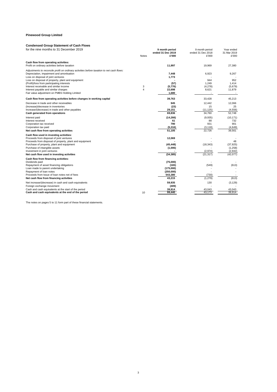## **Condensed Group Statement of Cash Flows**

| for the nine months to 31 December 2019                                                   | <b>Notes</b>   | 9 month period<br>ended 31 Dec 2019<br>£'000 | 9 month period<br>ended 31 Dec 2018<br>£'000 | Year ended<br>31 Mar 2019<br>£'000 |
|-------------------------------------------------------------------------------------------|----------------|----------------------------------------------|----------------------------------------------|------------------------------------|
| Cash flow from operating activities:<br>Profit on ordinary activities before taxation     |                | 11,997                                       | 19,969                                       | 27,380                             |
| Adjustments to reconcile profit on ordinary activities before taxation to net cash flows: |                |                                              |                                              |                                    |
| Depreciation, impairment and amortisation                                                 |                | 7,448                                        | 6,923                                        | 9,267                              |
| Loss on disposal of joint ventures                                                        |                | 1,773                                        |                                              |                                    |
| Loss on disposal of property, plant and equipment                                         |                |                                              | 944                                          | 952                                |
| (Profit)/loss from participating interests                                                |                | (57)                                         | 1.249                                        | 1.414                              |
| Interest receivable and similar income                                                    | 3              | (5,776)                                      | (4,278)                                      | (5,679)                            |
| Interest payable and similar charges                                                      | $\overline{4}$ | 22,698                                       | 8,621                                        | 11,879                             |
| Fair value adjustment on PMBS Holding Limited                                             |                | 1,680                                        |                                              | $\overline{\phantom{a}}$           |
| Cash flow from operating activities before changes in working capital                     |                | 39,763                                       | 33,428                                       | 45,213                             |
| Decrease in trade and other receivables                                                   |                | 945                                          | 12.442                                       | 12.066                             |
| (Increase)/decrease in inventories                                                        |                | (23)                                         | 15                                           | 25                                 |
| Increase/(decrease) in trade and other payables                                           |                | 29,151                                       | (11, 125)                                    | (4, 556)                           |
| Cash generated from operations                                                            |                | 69.836                                       | 34.760                                       | 52.748                             |
| Interest paid                                                                             |                | (14, 266)                                    | (9,935)                                      | (10, 171)                          |
| Interest received                                                                         |                | 61                                           | 88                                           | 732                                |
| Corporation tax received                                                                  |                | 790                                          | 931                                          | 901                                |
| Corporation tax paid                                                                      |                | (5, 316)                                     | (3, 118)                                     | (4,649)                            |
| Net cash flow from operating activities                                                   |                | 51,105                                       | 22.726                                       | 39.561                             |
| Cash flow used in investing activities:                                                   |                |                                              |                                              |                                    |
| Proceeds from disposal of joint ventures                                                  |                | 12,069                                       |                                              |                                    |
| Proceeds from disposal of property, plant and equipment                                   |                |                                              |                                              | 48                                 |
| Purchase of property, plant and equipment                                                 |                | (45, 448)                                    | (18, 343)                                    | (37, 925)                          |
| Purchase of intangible assets<br>Investment in joint ventures                             |                | (1,006)                                      | (2,974)                                      | (1,258)<br>(2,942)                 |
| Net cash flow used in investing activities                                                |                | (34, 385)                                    | (21, 317)                                    | (42,077)                           |
|                                                                                           |                |                                              |                                              |                                    |
| Cash flow from financing activities:<br>Dividends paid                                    |                | (75,000)                                     |                                              |                                    |
| Repayment of asset financing obligations                                                  |                | (165)                                        | (549)                                        | (613)                              |
| Loan made to parent undertaking                                                           |                | (175,000)                                    |                                              |                                    |
| Repayment of loan notes                                                                   |                | (250,000)                                    |                                              |                                    |
| Proceeds from Issue of loan notes net of fees                                             |                | 543,380                                      | (730)                                        |                                    |
| Net cash flow from financing activities                                                   |                | 43,215                                       | (1, 279)                                     | (613)                              |
| Net increase/(decrease) in cash and cash equivalents                                      |                | 59,935                                       | 130                                          | (3, 129)                           |
| Foreign exchange movement                                                                 |                | (409)                                        |                                              |                                    |
| Cash and cash equivalents at the start of the period                                      |                | 39,914                                       | 43,043                                       | 43,043                             |
| Cash and cash equivalents at the end of the period                                        | 10             | 99,440                                       | 43,173                                       | 39.914                             |
|                                                                                           |                |                                              |                                              |                                    |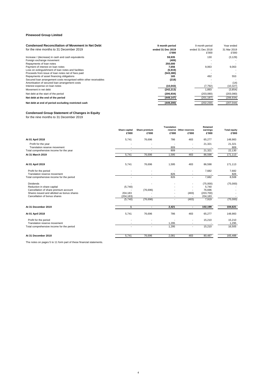| <b>Condensed Reconciliation of Movement in Net Debt</b>                                                                                                                                                                                                                                                                                                                                                                                                                                      | 9 month period                                                                                          | 9 month period                           | Year ended                                    |
|----------------------------------------------------------------------------------------------------------------------------------------------------------------------------------------------------------------------------------------------------------------------------------------------------------------------------------------------------------------------------------------------------------------------------------------------------------------------------------------------|---------------------------------------------------------------------------------------------------------|------------------------------------------|-----------------------------------------------|
| for the nine months to 31 December 2019                                                                                                                                                                                                                                                                                                                                                                                                                                                      | ended 31 Dec 2019<br>£'000                                                                              | ended 31 Dec 2018<br>£'000               | 31 Mar 2019<br>£'000                          |
| Increase / (decrease) in cash and cash equivalents<br>Foreign exchange movement<br>Repayments of loan notes<br>Payment of interest on loan notes<br>Loss on extinguishment of loan notes and facilities<br>Proceeds from issue of loan notes net of fees paid<br>Repayments of asset financing obligations<br>Secured Ioan arrangement costs recognised within other receivables<br>Amortisation of secured loan arrangement costs<br>Interest expense on loan notes<br>Movement in net debt | 59.935<br>(409)<br>250.000<br>7,656<br>(5.919)<br>(543, 380)<br>165<br>(218)<br>(10, 043)<br>(242, 213) | 130<br>9,063<br>492<br>(7, 792)<br>1,893 | (3, 129)<br>9,063<br>553<br>(14)<br>(10, 327) |
| Net debt at the start of the period                                                                                                                                                                                                                                                                                                                                                                                                                                                          | (206, 934)                                                                                              | (203,080)                                | (3,854)<br>(203,080)                          |
| Net debt at the end of the period<br>Net debt at end of period excluding restricted cash                                                                                                                                                                                                                                                                                                                                                                                                     | (449, 147)<br>(449, 200)                                                                                | (201, 187)<br>(202, 230)                 | (206, 934)<br>(207, 044)                      |

#### **Condensed Group Statement of Changes in Equity**

for the nine months to 31 December 2019

|                                                     | Share capital<br>£'000 | Share premium<br>£'000 | <b>Translation</b><br>£'000 | reserve Other reserves<br>£'000 | Retained<br>earnings<br>£'000 | <b>Total equity</b><br>£'000 |
|-----------------------------------------------------|------------------------|------------------------|-----------------------------|---------------------------------|-------------------------------|------------------------------|
| At 01 April 2018                                    | 5.741                  | 76,696                 | 786                         | 483                             | 65.277                        | 148,983                      |
| Profit for the year<br>Translation reserve movement | ٠                      | $\sim$                 | ٠.<br>809                   | ٠<br>$\overline{\phantom{a}}$   | 21,321                        | 21,321<br>809                |
| Total comprehensive income for the year             | ٠                      | ×                      | 809                         | ×                               | 21,321                        | 22,130                       |
| At 31 March 2019                                    | 5,741                  | 76,696                 | 1,595                       | 483                             | 86,598                        | 171,113                      |
| At 01 April 2019                                    | 5,741                  | 76,696                 | 1,595                       | 483                             | 86,598                        | 171,113                      |
| Profit for the period                               |                        |                        |                             |                                 | 7,682                         | 7,682                        |
| Translation reserve movement                        |                        |                        | 826                         |                                 |                               | 826                          |
| Total comprehensive income for the period           |                        |                        | 826                         |                                 | 7,682                         | 8,508                        |
| <b>Dividends</b>                                    |                        |                        |                             |                                 | (75,000)                      | (75,000)                     |
| Reduction in share capital                          | (5,740)                |                        |                             |                                 | 5,740                         |                              |
| Cancellation of share premium account               |                        | (76, 696)              |                             |                                 | 76,696                        |                              |
| Shares issued and allotted as bonus shares          | 204,183                |                        |                             | (483)                           | (203, 700)                    |                              |
| Cancellation of bonus shares                        | (204, 183)<br>(5,740)  | (76, 696)              | ÷,                          | (483)                           | 204,183<br>7,919              | (75,000)                     |
|                                                     |                        |                        |                             |                                 |                               |                              |
| At 31 December 2019                                 | 1                      | $\blacksquare$         | 2,421                       | $\blacksquare$                  | 102,199                       | 104,621                      |
| At 01 April 2018                                    | 5,741                  | 76,696                 | 786                         | 483                             | 65,277                        | 148,983                      |
| Profit for the period                               |                        |                        |                             |                                 | 15,210                        | 15,210                       |
| Translation reserve movement                        |                        |                        | 1,295                       |                                 |                               | 1,295                        |
| Total comprehensive income for the period           | ٠                      | ×                      | 1,295                       | ×                               | 15,210                        | 16,505                       |
| At 31 December 2018                                 | 5.741                  | 76.696                 | 2.081                       | 483                             | 80.487                        | 165,488                      |
|                                                     |                        |                        |                             |                                 |                               |                              |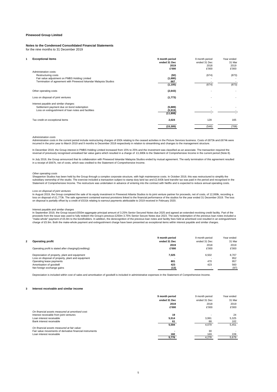## **Notes to the Condensed Consolidated Financial Statements**

for the nine months to 31 December 2019

| <b>Exceptional items</b>              | 9 month period                                                                                                                                                                                                                               | 9 month period                               | Year ended |
|---------------------------------------|----------------------------------------------------------------------------------------------------------------------------------------------------------------------------------------------------------------------------------------------|----------------------------------------------|------------|
|                                       | ended 31 Dec                                                                                                                                                                                                                                 | ended 31 Dec                                 | 31 Mar     |
|                                       | 2019                                                                                                                                                                                                                                         | 2018                                         | 2019       |
|                                       | £'000                                                                                                                                                                                                                                        | £'000                                        | £'000      |
| Administration costs:                 |                                                                                                                                                                                                                                              |                                              |            |
|                                       |                                                                                                                                                                                                                                              |                                              | (873)      |
|                                       |                                                                                                                                                                                                                                              |                                              |            |
|                                       |                                                                                                                                                                                                                                              |                                              |            |
|                                       | (1, 105)                                                                                                                                                                                                                                     | (674)                                        | (873)      |
| Other operating costs                 | (2,643)                                                                                                                                                                                                                                      |                                              |            |
| Loss on disposal of joint ventures    | (1, 773)                                                                                                                                                                                                                                     |                                              |            |
| Interest payable and similar charges: |                                                                                                                                                                                                                                              |                                              |            |
|                                       |                                                                                                                                                                                                                                              |                                              |            |
|                                       |                                                                                                                                                                                                                                              |                                              |            |
|                                       | (11, 808)                                                                                                                                                                                                                                    |                                              |            |
| Tax credit on exceptional items       | 2,024                                                                                                                                                                                                                                        | 128                                          | 165        |
|                                       | (15, 305)                                                                                                                                                                                                                                    | (546)                                        | (708)      |
|                                       | Restructuring costs<br>Fair value adjustment on PMBS Holding Limited<br>Termination of agreement with Pinewood Iskandar Malaysia Studios<br>Settlement payment due on bond redemption<br>Loss on extinguishment of loan notes and facilities | (92)<br>(1,680)<br>667<br>(5,889)<br>(5,919) | (674)      |

#### *Administration costs*

Administration costs in the current period include restructuring charges of £92k relating to the ceased activities in the Picture Services business. Costs of £873k and £674k were incurred in the prior year to March 2019 and 9 months to December 2018 respectively in relation to streamlining and changes to the management structure.

In December 2019, the Group interest in PMBS Holding Limited increased from 15% to 25% and the investment was classified as an associate. The transaction required the reversal of previously recognised unrealised fair value gains which resulted in a charge of £1,680k to the Statement of Comprehensive Income in the current period (Note 8).

In July 2019, the Group announced that its collaboration with Pinewood Iskandar Malaysia Studios ended by mutual agreement. The early termination of this agreement resulted in a receipt of £667k, net of costs, which was credited to the Statement of Comprehensive Income.

## *Other operating costs*

Shepperton Studios has been held by the Group through a complex corporate structure, with high maintenance costs. In October 2019, this was restructured to simplify the subsidiary ownership of the studio. The exercise included a transaction subject to stamp duty land tax and £2,643k land transfer tax was paid in the period and recognised in the<br>Statement of Comprehensive Income. The restr

#### *Loss on disposal of joint ventures*

In August 2019, the Group completed the sale of its equity investment in Pinewood Atlanta Studios to its joint venture partner for proceeds, net of costs, of 12,069k, recording a<br>loss on disposal of £1,773k. The sale agree on disposal is partially offset by a credit of £531k relating to earnout payments attributable to 2019 received in February 2020.

#### Interest payable and similar charges

In September 2019, the Group issued £550m aggregate principal amount of 3.25% Senior Secured Notes due 2025 and agreed an extended revolving credit facility. Part of the<br>proceeds from the issue was used to fully redeem the "make-whole" payment of £5.9m to the bondholders. In addition, the derecognition of the previous loan notes and facility fees held at amortised cost resulted in an extinguishment<br>charge of £5.9m. Both the make-whole paymen

|                                                        | 9 month period | 9 month period | Year ended |
|--------------------------------------------------------|----------------|----------------|------------|
| <b>Operating profit</b>                                | ended 31 Dec   | ended 31 Dec   | 31 Mar     |
|                                                        | 2019           | 2018           | 2019       |
| Operating profit is stated after charging/(crediting): | £'000          | £'000          | £'000      |
| Depreciation of property, plant and equipment          | 7.025          | 6.502          | 8.707      |
| Loss on disposal of property, plant and equipment      |                | -              | 952        |
| Operating lease payments                               | 801            | 470            | 957        |
| Amortisation of goodwill                               | 423            | 423            | 560        |
| Net foreign exchange gains                             | (13)           |                | (97)       |

Depreciation is included within cost of sales and amortisation of goodwill is included in administrative expenses in the Statement of Comprehensive Income.

#### **3 Interest receivable and similar income**

|                                                          | 9 month period | 9 month period | Year ended |
|----------------------------------------------------------|----------------|----------------|------------|
|                                                          | ended 31 Dec   | ended 31 Dec   | 31 Mar     |
|                                                          | 2019           | 2018           | 2019       |
|                                                          | £'000          | £'000          | £'000      |
| On financial assets measured at amortised cost:          |                |                |            |
| Interest receivable from joint ventures                  | 19             |                | 24         |
| Loan interest receivable                                 | 5,514          | 3.991          | 5.325      |
| Bank interest receivable                                 | 61             | 88             | 102        |
|                                                          | 5.594          | 4.079          | 5.451      |
| On financial assets measured at fair value:              |                |                |            |
| Fair value movements of derivative financial instruments |                | 30             |            |
| Loan interest receivable                                 | 182            | 169            | 228        |
|                                                          | 5.776          | 4.278          | 5.679      |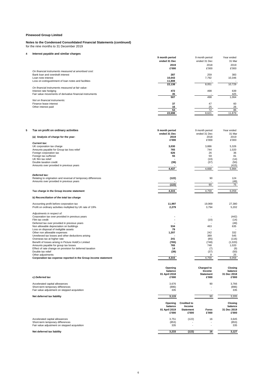#### **Notes to the Condensed Consolidated Financial Statements (continued)** for the nine months to 31 December 2019

## **4 Interest payable and similar charges**

| interest payable and similar charges                     |                |                |            |
|----------------------------------------------------------|----------------|----------------|------------|
|                                                          | 9 month period | 9 month period | Year ended |
|                                                          | ended 31 Dec   | ended 31 Dec   | 31 Mar     |
|                                                          | 2019           | 2018           | 2019       |
|                                                          | £'000          | £'000          | £'000      |
| On financial instruments measured at amortised cost:     |                |                |            |
| Bank loan and overdraft interest                         | 287            | 259            | 383        |
| Loan note interest                                       | 10,043         | 7,792          | 10,346     |
| Loss on extinguishment of loan notes and facilities      | 11,808         |                |            |
|                                                          | 22,138         | 8,051          | 10.729     |
| On financial instruments measured at fair value:         |                |                |            |
| Interest rate hedging                                    | 472            | 498            | 639        |
| Fair value movements of derivative financial instruments | 35             |                | 425        |
|                                                          | 507            | 498            | 1,064      |
| Not on financial instruments:                            |                |                |            |
| Finance lease interest                                   | 37             | 47             | 60         |
| Other interest paid                                      | 16             | 25             | 26         |
|                                                          | 53             | 72             | 86         |
|                                                          | 22,698         | 8,621          | 11,879     |

| 5 | Tax on profit on ordinary activities                           | 9 month period | 9 month period   | Year ended  |
|---|----------------------------------------------------------------|----------------|------------------|-------------|
|   |                                                                | ended 31 Dec   | ended 31 Dec     | 31 Mai      |
|   | (a) Analysis of charge for the year:                           | 2019           | 2018             | 2019        |
|   |                                                                | £'000          | £'000            | £'000       |
|   | <b>Current tax:</b>                                            |                |                  |             |
|   | UK corporation tax charge                                      | 3,030          | 3.886            | 5.326       |
|   | Amounts payable for Group tax loss relief                      | 765            | 744              | 1,020       |
|   | Foreign corporation tax                                        | 626            | 26               | 36          |
|   | Foreign tax suffered                                           | 55             | 59               | 81          |
|   | UK film tax relief                                             |                | (10)             | (14)        |
|   | Double taxation credit                                         | (39)           | (37)             | (50)        |
|   | Amounts over provided in previous years                        |                | $\sim$           | (415)       |
|   |                                                                | 4,437          | 4,668            | 5,984       |
|   |                                                                |                |                  |             |
|   | Deferred tax:                                                  |                |                  |             |
|   | Relating to origination and reversal of temporary differences  | (122)          | 90               | 124         |
|   | Amounts over provided in previous years                        |                |                  | (49)        |
|   |                                                                | (122)          | 90               | 75          |
|   |                                                                |                |                  |             |
|   | Tax charge in the Group income statement                       | 4,315          | 4,759            | 6,059       |
|   | b) Reconciliation of the total tax charge                      |                |                  |             |
|   | Accounting profit before corporation tax                       | 11.997         | 19.969           | 27.380      |
|   | Profit on ordinary activities multiplied by UK rate of 19%     | 2,279          | 3,794            | 5,202       |
|   |                                                                |                |                  |             |
|   | Adjustments in respect of:                                     |                |                  |             |
|   | Corporation tax over provided in previous years                |                |                  | (442)       |
|   | Film tax credit                                                |                | (10)             | (14)        |
|   | Deferred tax over provided in previous years                   |                |                  | (49)        |
|   | Non allowable depreciation on buildings                        | 534            | 463              | 635         |
|   | Loss on disposal of ineligible assets                          | 79             |                  |             |
|   | Other non allowable expenses                                   | 1,207          | 242              | 332         |
|   | Unrelieved tax losses and other deductions arising             |                | 389              | 545         |
|   | Overseas tax at higher rate                                    | 241            | (85)             | (116)       |
|   | Benefit of losses arising in Picture HoldCo Limited            | (765)          | (748)            | (1,020)     |
|   | Amounts payable for group tax losses                           | 765            | 748              | 1,020       |
|   | Effect of rate change on provision for deferred taxation       | 14             | (7)              | (9)         |
|   | Double tax relief                                              | (39)           | (37)             | (50)        |
|   | Other adjustments                                              |                | 9                | 25          |
|   | Corporation tax expense reported in the Group income statement | 4,315          | 4,759            | 6,059       |
|   |                                                                |                |                  |             |
|   |                                                                | Opening        | Charged to       | Closing     |
|   |                                                                | balance        | Income           | balance     |
|   |                                                                | 01 April 2018  | <b>Statement</b> | 31 Dec 2018 |
|   | c) Deferred tax                                                | £'000          | £'000            | £'000       |
|   |                                                                |                |                  |             |

| Accelerated capital allowances               | 3,676                                        |                                                           | 90                       | 3,766                                      |
|----------------------------------------------|----------------------------------------------|-----------------------------------------------------------|--------------------------|--------------------------------------------|
| Short-term temporary differences             | (896)                                        |                                                           | $\overline{\phantom{a}}$ | (896)                                      |
| Fair value adjustment on stepped acquisition | 335                                          |                                                           | ٠                        | 335                                        |
| Net deferred tax liability                   | 3,115                                        |                                                           | 90                       | 3,205                                      |
|                                              | Opening<br>balance<br>01 April 2019<br>£'000 | <b>Credited to</b><br>Income<br><b>Statement</b><br>£'000 | Forex<br>£'000           | Closing<br>balance<br>31 Dec 2019<br>£'000 |
| Accelerated capital allowances               | 3.751                                        | (122)                                                     | 16                       | 3,645                                      |
| Short-term temporary differences             | (853)                                        |                                                           |                          | (853)                                      |
| Fair value adjustment on stepped acquisition | 335                                          |                                                           |                          | 335                                        |
| Net deferred tax liability                   | 3,233                                        | (122)                                                     | 16                       | 3,127                                      |

6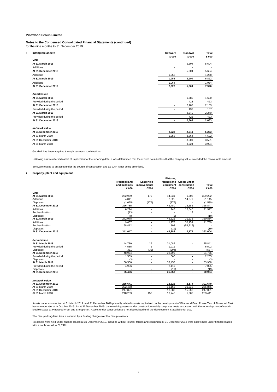## **Notes to the Condensed Consolidated Financial Statements (continued)**

for the nine months to 31 December 2019

| 6 | Intangible assets          | Software<br>£'000 | Goodwill<br>£'000 | Total<br>£'000 |
|---|----------------------------|-------------------|-------------------|----------------|
|   | Cost                       |                   |                   |                |
|   | At 31 March 2018           | ٠                 | 5,604             | 5,604          |
|   | Additions                  | ۰                 |                   | ٠              |
|   | At 31 December 2018        | ä,                | 5,604             | 5,604          |
|   | Additions                  | 1,258             |                   | 1,258          |
|   | At 31 March 2019           | 1,258             | 5,604             | 6,862          |
|   | Additions                  | 1,064             |                   | 1,064          |
|   | At 31 December 2019        | 2,322             | 5,604             | 7,926          |
|   | <b>Amortisation</b>        |                   |                   |                |
|   | At 31 March 2018           | ٠                 | 1.680             | 1,680          |
|   | Provided during the period | ۰                 | 423               | 423            |
|   | At 31 December 2018        | ۰                 | 2,103             | 2,103          |
|   | Provided during the period | ٠                 | 137               | 137            |
|   | At 31 March 2019           | ٠                 | 2,240             | 2,240          |
|   | Provided during the period | ٠                 | 423               | 423            |
|   | At 31 December 2019        | ۰                 | 2,663             | 2,663          |
|   | Net book value             |                   |                   |                |
|   | At 31 December 2019        | 2,322             | 2,941             | 5,263          |
|   | At 31 March 2019           | 1,258             | 3,364             | 4,622          |
|   | At 31 December 2018        |                   | 3,501             | 3,501          |
|   | At 31 March 2018           | ۰                 | 3,924             | 3,924          |

Goodwill has been acquired through business combinations.

Following a review for indicators of impairment at the reporting date, it was determined that there were no indicators that the carrying value exceeded the recoverable amount.

Software relates to an asset under the course of construction and as such is not being amortised.

### **7 Property, plant and equipment**

|                                                                                                                  | <b>Freehold land</b><br>and buildings<br>£'000 | Leasehold<br>improvements<br>£'000 | Fixtures,<br>£'000                 | fittings and Assets under<br>equipment construction<br>£'000 | Total<br>£'000                     |
|------------------------------------------------------------------------------------------------------------------|------------------------------------------------|------------------------------------|------------------------------------|--------------------------------------------------------------|------------------------------------|
| Cost                                                                                                             |                                                |                                    |                                    |                                                              |                                    |
| At 31 March 2018                                                                                                 | 262.969                                        | 179                                | 44.831                             | 1,303                                                        | 309,282                            |
| Additions                                                                                                        | 4,841                                          |                                    | 2.025                              | 14,279                                                       | 21,145                             |
| <b>Disposals</b>                                                                                                 | (1.025)                                        | (179)                              | (376)                              | ٠                                                            | (1,580)                            |
| At 31 December 2018                                                                                              | 266,785                                        | ٠                                  | 46,480                             | 15,582                                                       | 328,847                            |
| <b>Additions</b>                                                                                                 | 6,214                                          | ä,                                 | 143                                | 15,640                                                       | 21,997                             |
| Reclassification                                                                                                 | (13)                                           |                                    |                                    | 13                                                           |                                    |
| <b>Disposals</b>                                                                                                 | (8)                                            |                                    | (2)                                |                                                              | (10)                               |
| At 31 March 2019                                                                                                 | 272,978                                        | ٠                                  | 46.621                             | 31,235                                                       | 350.834                            |
| <b>Additions</b>                                                                                                 | 9,657                                          | ٠                                  | 1,978                              | 30,154                                                       | 41,789                             |
| Reclassification                                                                                                 | 58,412                                         |                                    | 803                                | (59, 215)                                                    |                                    |
| <b>Disposals</b>                                                                                                 |                                                |                                    | (19)                               |                                                              | (19)                               |
| At 31 December 2019                                                                                              | 341,047                                        | ٠                                  | 49.383                             | 2,174                                                        | 392.604                            |
| <b>Depreciation</b><br>At 31 March 2018<br>Provided during the period<br><b>Disposals</b><br>At 31 December 2018 | 44.730<br>4,585<br>(351)<br>48.964             | 26<br>6<br>(32)<br>٠               | 31.085<br>1,911<br>(204)<br>32.792 | ÷.                                                           | 75.841<br>6,502<br>(587)<br>81.756 |
| Provided during the period                                                                                       | 1.539                                          | ä,                                 | 666                                | $\blacksquare$                                               | 2,205                              |
| <b>Disposals</b>                                                                                                 | (3)                                            |                                    |                                    |                                                              | (3)                                |
| At 31 March 2019                                                                                                 | 50,500                                         | ä,                                 | 33,458                             | ٠                                                            | 83,958                             |
| Provided during the period                                                                                       | 4,906                                          | ä,                                 | 2.119                              | ٠                                                            | 7,025                              |
| <b>Disposals</b><br>At 31 December 2019                                                                          | 55.406                                         | ٠                                  | (19)<br>35.558                     | ٠                                                            | (19)<br>90.964                     |
|                                                                                                                  |                                                |                                    |                                    |                                                              |                                    |
| <b>Net book value</b><br>At 31 December 2019                                                                     | 285,641                                        |                                    | 13,825                             | 2,174                                                        | 301,640                            |
| At 31 March 2019                                                                                                 | 222,478                                        | ä,                                 | 13,163                             | 31,235                                                       | 266,876                            |
| At 31 December 2018                                                                                              | 217,821                                        | ٠                                  | 13,688                             | 15,582                                                       | 247,091                            |
| At 31 March 2018                                                                                                 | 218,239                                        | 153                                | 13.746                             | 1.303                                                        | 233.441                            |

Assets under construction at 31 March 2019 and 31 December 2018 primarily related to costs capitalised on the development of Pinewood East. Phase Two of Pinewood East became operational in October 2019. As at 31 December 2019, the remaining assets under construction mainly comprises costs associated with the redevelopment of certain<br>lettable space at Pinewood West and Shepperton. Assets

The Group's long-term loan is secured by a floating charge over the Group's assets.

No assets were held under finance leases at 31 December 2019. Included within Fixtures, fittings and equipment at 31 December 2018 were assets held under finance leases with a net book value £1,742k.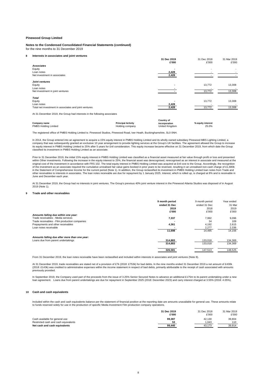#### **Notes to the Condensed Consolidated Financial Statements (continued)** for the nine months to 31 December 2019

**8 Interests in associates and joint ventures**

| .                                                                        | 31 Dec 2019<br>£'000 | 31 Dec 2018<br>£'000 | 31 Mar 2019<br>£'000 |
|--------------------------------------------------------------------------|----------------------|----------------------|----------------------|
| <b>Associates</b>                                                        |                      |                      |                      |
| Equity<br>Loan notes                                                     | 2,428                |                      |                      |
| Net investment in associates                                             | 2,428                |                      |                      |
| <b>Joint ventures</b>                                                    |                      |                      |                      |
| Equity                                                                   |                      | 13,772               | 13,308               |
| Loan notes                                                               |                      |                      |                      |
| Net investment in joint ventures                                         |                      | 13,772               | 13,308               |
| <b>Total</b>                                                             |                      |                      |                      |
| Equity                                                                   |                      | 13,772               | 13,308               |
| Loan notes                                                               | 2,428                |                      |                      |
| Total net investment in associates and joint ventures                    | 2,428                | 13,772               | 13,308               |
| At 31 December 2019, the Group had interests in the following associates |                      |                      |                      |

|                      |                           | <b>Country of</b> |                   |
|----------------------|---------------------------|-------------------|-------------------|
| Company name         | <b>Principal Activity</b> | incorporation     | % equity interest |
| PMBS Holding Limited | Holding company           | United Kingdom    | 25.0%             |

The registered office of PMBS Holding Limited is: Pinewood Studios, Pinewood Road, Iver Heath, Buckinghamshire, SL0 0NH.

In 2014, the Group entered into an agreement to acquire a 15% equity interest in PMBS Holding Limited and its wholly owned subsidiary Pinewood MBS Lighting Limited, a company that was subsequently granted an exclusive 10 year arrangement to provide lighting services at the Group's UK facilities. The agreement allowed the Group to increase<br>its equity interest in PMBS Holding Limited to 2 classified its investment in PMBS Holding Limited as an associate.

Prior to 31 December 2019, the initial 15% equity interest in PMBS Holding Limited was classified as a financial asset measured at fair value through profit or loss and presented<br>within Other investments. Following the inc of the investment as an associate required the cumulative unrealised fair value gains booked in prior years to be reversed, resulting in an unrealised non-cash charge of £1,680k<br>in the Statement of Comprehensive Income for other receivables to interests in associates. The loan notes receivable are due for repayment by 1 January 2025. Interest, which is rolled up, is charged at 8% and is receivable in June and December each year.

At 31 December 2019, the Group had no interests in joint ventures. The Group's previous 40% joint venture interest in the Pinewood Atlanta Studios was disposed of in August 2019 (Note 1).

#### **9 Trade and other receivables**

|                                               | 9 month period | 9 month period | Year ended |
|-----------------------------------------------|----------------|----------------|------------|
|                                               | ended 31 Dec   | ended 31 Dec   | 31 Mar     |
|                                               | 2019           | 2018           | 2019       |
|                                               | £'000          | £'000          | £'000      |
| Amounts falling due within one year:          |                |                |            |
| Trade receivables - Media services            | 7,337          | 7.992          | 9,096      |
| Trade receivables - Film production companies |                | 34             | 109        |
| Prepayments and other receivables             | 4,361          | 4,192          | 2.615      |
| Loan notes receivable                         |                | 2,277          | 2,336      |
|                                               | 11,698         | 14.495         | 14.156     |
| Amounts falling due after more than one year: |                |                |            |
| Loans due from parent undertakings            | 314,883        | 133,018        | 134,369    |
|                                               | 314,883        | 133,018        | 134.369    |
|                                               | 326.581        | 147.513        | 148.525    |

From 31 December 2019, the loan notes receivable have been reclassified and included within interests in associates and joint ventures (Note 8).

At 31 December 2019, trade receivables are stated net of a provision of £7k (2018: £753k) for bad debts. In the nine months ended 31 December 2019 a net amount of £430k (2018: £143k) was credited to administrative expenses within the income statement in respect of bad debts, primarily attributable to the receipt of cash associated with amounts previously provided.

In September 2019, the Company used part of the proceeds from the issue of 3.25% Senior Secured Notes to advance an additional £175m to its parent undertaking under a new loan agreement. Loans due from parent undertakings are due for repayment in September 2025 (2018: December 2023) and carry interest charged at 3.55% (2018: 4.05%).

#### **10 Cash and cash equivalents**

Included within the cash and cash equivalents balance per the statement of financial position at the reporting date are amounts unavailable for general use. These amounts relate to funds reserved solely for use in the production of specific Media Investment Film production company operations.

|                                      | 31 Dec 2019 | 31 Dec 2018 | 31 Mar 2019 |
|--------------------------------------|-------------|-------------|-------------|
|                                      | £'000       | £'000       | £'000       |
| Cash available for general use       | 99.387      | 42.130      | 39.804      |
| Restricted cash and cash equivalents | 53          | .043        | 110         |
| Net cash and cash equivalents        | 99.440      | 43.173      | 39.914      |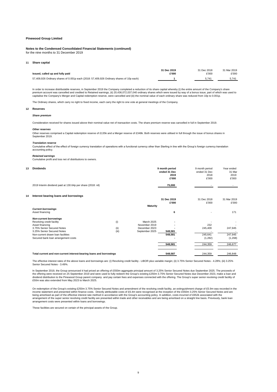#### **Notes to the Condensed Consolidated Financial Statements (continued)** for the nine months to 31 December 2019

#### **11 Share capital**

| Issued, called up and fully paid                                                         | 31 Dec 2019 | 31 Dec 2018 | 31 Mar 2019 |
|------------------------------------------------------------------------------------------|-------------|-------------|-------------|
|                                                                                          | £'000       | £'000       | £'000       |
| 57,409,926 Ordinary shares of 0.001p each (2018: 57,409,926 Ordinary shares of 10p each) |             | 5.74        | 5.741       |

In order to increase distributable reserves, in September 2019 the Company completed a reduction of its share capital whereby (i) the entire amount of the Company's share premium account was cancelled and credited to Retained earnings, (ii) 20,436,072,037,040 ordinary shares which were issued by way of a bonus issue, part of which was used to<br>capitalise the Company's Merger and Capital rede

The Ordinary shares, which carry no right to fixed income, each carry the right to one vote at general meetings of the Company.

#### **12 Reserves**

#### *Share premium*

Consideration received for shares issued above their nominal value net of transaction costs. The share premium reserve was cancelled in full in September 2019.

#### *Other reserves* Other reserves comprised a Capital redemption reserve of £135k and a Merger reserve of £348k. Both reserves were utilised in full through the issue of bonus shares in September 2019

#### *Translation reserve*

Cumulative effect of the effect of foreign currency translation of operations with a functional currency other than Sterling in line with the Group's foreign currency translation accounting policy.

#### *Retained earnings*

Cumulative profit and loss net of distributions to owners.

| 13 | <b>Dividends</b>                                                    |       |                 | 9 month period<br>ended 31 Dec<br>2019<br>£'000 | 9 month period<br>ended 31 Dec<br>2018<br>£'000 | Year ended<br>31 Mar<br>2019<br>£'000 |
|----|---------------------------------------------------------------------|-------|-----------------|-------------------------------------------------|-------------------------------------------------|---------------------------------------|
|    | 2019 Interim dividend paid at 130.64p per share (2018: nil)         |       |                 | 75,000                                          |                                                 |                                       |
| 14 | Interest bearing loans and borrowings                               |       |                 |                                                 |                                                 |                                       |
|    |                                                                     |       |                 | 31 Dec 2019                                     | 31 Dec 2018                                     | 31 Mar 2019                           |
|    |                                                                     |       | <b>Maturity</b> | £'000                                           | £'000                                           | £'000                                 |
|    | <b>Current borrowings</b>                                           |       |                 |                                                 |                                                 |                                       |
|    | Asset financing                                                     |       |                 | 6                                               |                                                 | 171                                   |
|    | <b>Non-current borrowings</b>                                       |       |                 |                                                 |                                                 |                                       |
|    | Revolving credit facility                                           | (i)   | March 2025      |                                                 |                                                 |                                       |
|    | Asset financing                                                     |       | November 2019   |                                                 | 232                                             |                                       |
|    | 3.75% Senior Secured Notes                                          | (ii)  | December 2023   |                                                 | 245,409                                         | 247,945                               |
|    | 3.25% Senior Secured Notes                                          | (iii) | September 2025  | 548,581                                         |                                                 |                                       |
|    | Non-current drawn loan facilities                                   |       |                 | 548,581                                         | 245,641                                         | 247,945                               |
|    | Secured bank loan arrangement costs                                 |       |                 |                                                 | (1,282)                                         | (1,268)                               |
|    |                                                                     |       |                 | 548,581                                         | 244,359                                         | 246,677                               |
|    | Total current and non-current interest-bearing loans and borrowings |       |                 | 548,587                                         | 244.359                                         | 246.848                               |

The effective interest rates of the above loans and borrowings are: (i) Revolving credit facility - LIBOR plus variable margin; (ii) 3.75% Senior Secured Notes - 4.28%; (iii) 3.25% Senior Secured Notes - 3.49%.

In September 2019, the Group announced it had priced an offering of £550m aggregate principal amount of 3.25% Senior Secured Notes due September 2025. The proceeds of the offering were received on 25 September 2019 and were used to fully redeem the Group's existing £250m 3.75% Senior Secured Notes due December 2023, make a loan and dividend distribution to the Pinewood Group parent company and pay certain fees and expenses connected with the offering. The Group's super senior revolving credit facility of<br>£50m was also extended from May 2023 to March

On redemption of the Group's existing £250m 3.75% Senior Secured Notes and amendment of the revolving credit facility, an extinguishment charge of £5.9m was recorded in the income statement and presented within finance costs. Directly attributable costs of £6.4m were recognised at the inception of the £550m 3.25% Senior Secured Notes and are<br>being amortised as part of the effective interest arrangement costs were presented within loans and borrowings.

These facilities are secured on certain of the principal assets of the Group.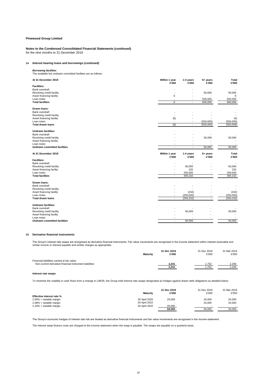## **Notes to the Condensed Consolidated Financial Statements (continued)** for the nine months to 31 December 2019

### **14 Interest bearing loans and borrowings (continued)**

## *Borrowing facilities*

The available but undrawn committed facilities are as follows:

| At 31 December 2019                                   | Within 1 year<br>£'000   | 1-4 years<br>£'000 | 5+ years<br>£'000 | Total<br>£'000 |
|-------------------------------------------------------|--------------------------|--------------------|-------------------|----------------|
| <b>Facilities:</b>                                    |                          |                    |                   |                |
| Bank overdraft                                        |                          |                    |                   |                |
| Revolving credit facility                             |                          | ٠                  | 50,000            | 50,000         |
| Asset financing facility<br>Loan notes                | 6                        | ٠                  | 550,000           | 6<br>550,000   |
| <b>Total facilities</b>                               | 6                        | ٠                  | 600,000           | 600,006        |
|                                                       |                          |                    |                   |                |
| Drawn Ioans:                                          |                          |                    |                   |                |
| Bank overdraft                                        |                          |                    |                   |                |
| Revolving credit facility<br>Asset financing facility |                          |                    |                   | (6)            |
| Loan notes                                            | (6)                      |                    | (550,000)         | (550,000)      |
| <b>Total drawn loans</b>                              | (6)                      | ä,                 | (550,000)         | (550,006)      |
|                                                       |                          |                    |                   |                |
| <b>Undrawn facilities:</b><br>Bank overdraft          |                          |                    |                   |                |
| Revolving credit facility                             |                          |                    | 50,000            | 50,000         |
| Asset financing facility                              |                          |                    |                   |                |
| Loan notes                                            |                          |                    |                   |                |
| <b>Undrawn committed facilities</b>                   | ٠                        | ä,                 | 50,000            | 50,000         |
| At 31 December 2018                                   | Within 1 year<br>£'000   | 1-4 years<br>£'000 | 5+ years<br>£'000 | Total<br>£'000 |
| <b>Facilities:</b>                                    |                          |                    |                   |                |
| Bank overdraft                                        |                          |                    |                   |                |
| Revolving credit facility                             |                          | 50,000             |                   | 50,000         |
| Asset financing facility                              |                          | 232                |                   | 232            |
| Loan notes                                            |                          | 250,000            |                   | 250,000        |
| <b>Total facilities</b>                               | ÷.                       | 300,232            | ٠                 | 300.232        |
| Drawn Ioans:                                          |                          |                    |                   |                |
| Bank overdraft                                        |                          |                    |                   |                |
| Revolving credit facility                             |                          |                    |                   |                |
| Asset financing facility                              |                          | (232)              |                   | (232)          |
| Loan notes                                            | $\overline{\phantom{a}}$ | (250,000)          |                   | (250,000)      |
| <b>Total drawn loans</b>                              | ٠                        | (250, 232)         | ٠                 | (250, 232)     |
| <b>Undrawn facilities:</b>                            |                          |                    |                   |                |
| Bank overdraft                                        |                          |                    |                   |                |
| Revolving credit facility                             |                          | 50,000             |                   | 50,000         |
| Asset financing facility                              |                          |                    |                   |                |
| Loan notes                                            |                          |                    |                   |                |
| Undrawn committed facilities                          | ٠                        | 50,000             | ٠                 | 50,000         |

## **15 Derivative financial instruments**

The Group's interest rate swaps are recognised as derivative financial instruments. Fair value movements are recognised in the income statement within interest receivable and<br>similar income or interest payable and similar

|                                                         |                 | 31 Dec 2019 | 31 Dec 2018 | 31 Mar 2019 |
|---------------------------------------------------------|-----------------|-------------|-------------|-------------|
|                                                         | <b>Maturity</b> | £'000       | £'000       | £'000       |
| Financial liabilities carried at fair value:            |                 |             |             |             |
| Non-current derivative financial instrument liabilities |                 | 2.241       | .752        | 2.206       |
|                                                         |                 | 2.241       | 1.752       | 2.206       |
|                                                         |                 |             |             |             |

#### *Interest rate swaps*

To minimise the volatility in cash flows from a change in LIBOR, the Group held interest rate swaps designated as hedges against drawn debt obligations as detailed below.

| Effective interest rate % | <b>Maturity</b> | 31 Dec 2019<br>£'000 | 31 Dec 2018<br>£'000 | 31 Mar 2019<br>£'000 |
|---------------------------|-----------------|----------------------|----------------------|----------------------|
| 2.00% + variable margin   | 30 April 2025   | 25,000               | 25,000               | 25,000               |
| 2.08% + variable margin   | 30 April 2022   |                      | 25,000               | 25,000               |
| 2.16% + variable margin   | 30 April 2022   | 25,000               |                      |                      |
|                           |                 | 50.000               | 50,000               | 50,000               |

The Group's economic hedges of interest rate risk are treated as derivative financial instruments and fair value movements are recognised in the income statement.

The interest swap finance costs are charged to the income statement when the swap is payable. The swaps are payable on a quarterly basis.